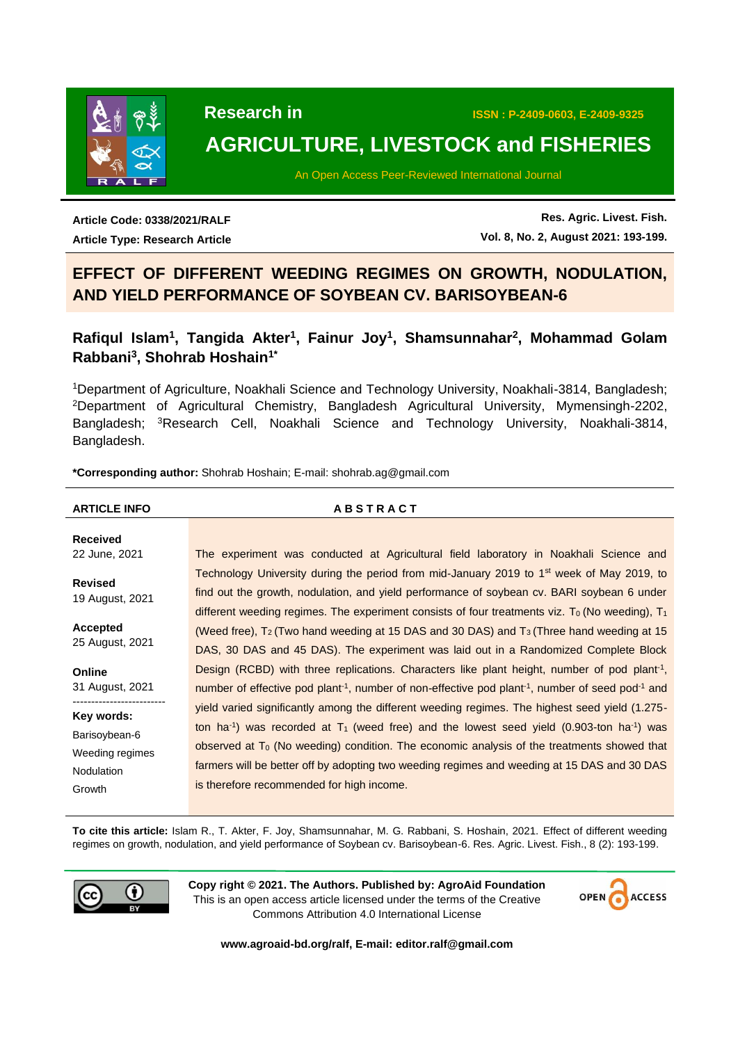

# **AGRICULTURE, LIVESTOCK and FISHERIES**

An Open Access Peer-Reviewed International Journal

**Article Code: 0338/2021/RALF Article Type: Research Article**

**Res. Agric. Livest. Fish. Vol. 8, No. 2, August 2021: 193-199.**

## **EFFECT OF DIFFERENT WEEDING REGIMES ON GROWTH, NODULATION, AND YIELD PERFORMANCE OF SOYBEAN CV. BARISOYBEAN-6**

### **Rafiqul Islam<sup>1</sup> , Tangida Akter<sup>1</sup> , Fainur Joy<sup>1</sup> , Shamsunnahar<sup>2</sup> , Mohammad Golam Rabbani<sup>3</sup> , Shohrab Hoshain1\***

<sup>1</sup>Department of Agriculture, Noakhali Science and Technology University, Noakhali-3814, Bangladesh; <sup>2</sup>Department of Agricultural Chemistry, Bangladesh Agricultural University, Mymensingh-2202, Bangladesh; <sup>3</sup>Research Cell, Noakhali Science and Technology University, Noakhali-3814, Bangladesh.

**\*Corresponding author:** Shohrab Hoshain; E-mail: shohrab.ag@gmail.com

#### **ARTICLE INFO A B S T R A C T Received** 22 June, 2021 **Revised** 19 August, 2021 **Accepted** 25 August, 2021 **Online** 31 August, 2021 ------------------------- **Key words:** Barisoybean-6 Weeding regimes Nodulation Growth The experiment was conducted at Agricultural field laboratory in Noakhali Science and Technology University during the period from mid-January 2019 to  $1<sup>st</sup>$  week of May 2019, to find out the growth, nodulation, and yield performance of soybean cv. BARI soybean 6 under different weeding regimes. The experiment consists of four treatments viz. T<sub>0</sub> (No weeding),  $T_1$ (Weed free),  $T_2$  (Two hand weeding at 15 DAS and 30 DAS) and  $T_3$  (Three hand weeding at 15 DAS, 30 DAS and 45 DAS). The experiment was laid out in a Randomized Complete Block Design (RCBD) with three replications. Characters like plant height, number of pod plant<sup>-1</sup>, number of effective pod plant<sup>-1</sup>, number of non-effective pod plant<sup>-1</sup>, number of seed pod<sup>-1</sup> and yield varied significantly among the different weeding regimes. The highest seed yield (1.275 ton ha<sup>-1</sup>) was recorded at  $T_1$  (weed free) and the lowest seed yield (0.903-ton ha<sup>-1</sup>) was observed at  $T_0$  (No weeding) condition. The economic analysis of the treatments showed that farmers will be better off by adopting two weeding regimes and weeding at 15 DAS and 30 DAS is therefore recommended for high income.

**To cite this article:** Islam R., T. Akter, F. Joy, Shamsunnahar, M. G. Rabbani, S. Hoshain, 2021. Effect of different weeding regimes on growth, nodulation, and yield performance of Soybean cv. Barisoybean-6. Res. Agric. Livest. Fish., 8 (2): 193-199.



**Copy right © 2021. The Authors. Published by: AgroAid Foundation** This is an open access article licensed under the terms of the Creative Commons Attribution 4.0 International License



**[www.agroaid-bd.org/ralf,](http://www.agroaid-bd.org/ralf) E-mail: [editor.ralf@gmail.com](mailto:editor.ralf@gmail.com)**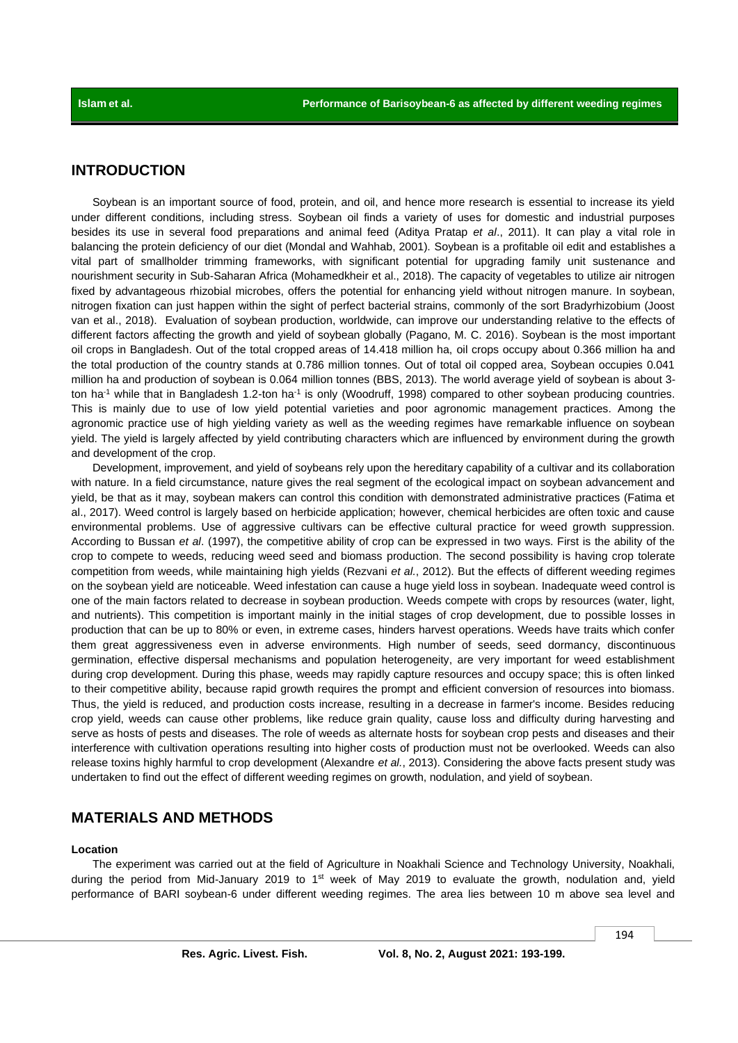### **INTRODUCTION**

Soybean is an important source of food, protein, and oil, and hence more research is essential to increase its yield under different conditions, including stress. Soybean oil finds a variety of uses for domestic and industrial purposes besides its use in several food preparations and animal feed (Aditya Pratap *et al*., 2011). It can play a vital role in balancing the protein deficiency of our diet (Mondal and Wahhab, 2001). Soybean is a profitable oil edit and establishes a vital part of smallholder trimming frameworks, with significant potential for upgrading family unit sustenance and nourishment security in Sub-Saharan Africa (Mohamedkheir et al., 2018). The capacity of vegetables to utilize air nitrogen fixed by advantageous rhizobial microbes, offers the potential for enhancing yield without nitrogen manure. In soybean, nitrogen fixation can just happen within the sight of perfect bacterial strains, commonly of the sort Bradyrhizobium (Joost van et al., 2018). Evaluation of soybean production, worldwide, can improve our understanding relative to the effects of different factors affecting the growth and yield of soybean globally (Pagano, M. C. 2016). Soybean is the most important oil crops in Bangladesh. Out of the total cropped areas of 14.418 million ha, oil crops occupy about 0.366 million ha and the total production of the country stands at 0.786 million tonnes. Out of total oil copped area, Soybean occupies 0.041 million ha and production of soybean is 0.064 million tonnes (BBS, 2013). The world average yield of soybean is about 3 ton ha<sup>-1</sup> while that in Bangladesh 1.2-ton ha<sup>-1</sup> is only (Woodruff, 1998) compared to other soybean producing countries. This is mainly due to use of low yield potential varieties and poor agronomic management practices. Among the agronomic practice use of high yielding variety as well as the weeding regimes have remarkable influence on soybean yield. The yield is largely affected by yield contributing characters which are influenced by environment during the growth and development of the crop.

Development, improvement, and yield of soybeans rely upon the hereditary capability of a cultivar and its collaboration with nature. In a field circumstance, nature gives the real segment of the ecological impact on soybean advancement and yield, be that as it may, soybean makers can control this condition with demonstrated administrative practices (Fatima et al., 2017). Weed control is largely based on herbicide application; however, chemical herbicides are often toxic and cause environmental problems. Use of aggressive cultivars can be effective cultural practice for weed growth suppression. According to Bussan *et al*. (1997), the competitive ability of crop can be expressed in two ways. First is the ability of the crop to compete to weeds, reducing weed seed and biomass production. The second possibility is having crop tolerate competition from weeds, while maintaining high yields (Rezvani *et al.*, 2012). But the effects of different weeding regimes on the soybean yield are noticeable. Weed infestation can cause a huge yield loss in soybean. Inadequate weed control is one of the main factors related to decrease in soybean production. Weeds compete with crops by resources (water, light, and nutrients). This competition is important mainly in the initial stages of crop development, due to possible losses in production that can be up to 80% or even, in extreme cases, hinders harvest operations. Weeds have traits which confer them great aggressiveness even in adverse environments. High number of seeds, seed dormancy, discontinuous germination, effective dispersal mechanisms and population heterogeneity, are very important for weed establishment during crop development. During this phase, weeds may rapidly capture resources and occupy space; this is often linked to their competitive ability, because rapid growth requires the prompt and efficient conversion of resources into biomass. Thus, the yield is reduced, and production costs increase, resulting in a decrease in farmer's income. Besides reducing crop yield, weeds can cause other problems, like reduce grain quality, cause loss and difficulty during harvesting and serve as hosts of pests and diseases. The role of weeds as alternate hosts for soybean crop pests and diseases and their interference with cultivation operations resulting into higher costs of production must not be overlooked. Weeds can also release toxins highly harmful to crop development (Alexandre *et al.*, 2013). Considering the above facts present study was undertaken to find out the effect of different weeding regimes on growth, nodulation, and yield of soybean.

### **MATERIALS AND METHODS**

#### **Location**

The experiment was carried out at the field of Agriculture in Noakhali Science and Technology University, Noakhali, during the period from Mid-January 2019 to 1<sup>st</sup> week of May 2019 to evaluate the growth, nodulation and, yield performance of BARI soybean-6 under different weeding regimes. The area lies between 10 m above sea level and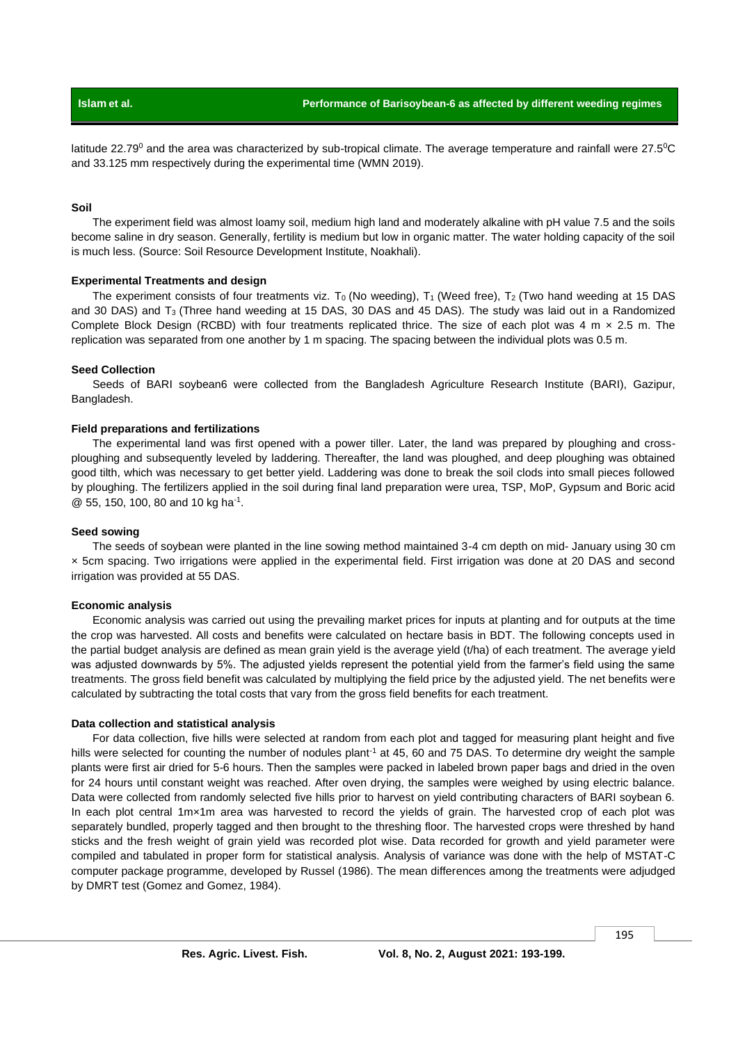latitude 22.79<sup>0</sup> and the area was characterized by sub-tropical climate. The average temperature and rainfall were 27.5<sup>o</sup>C and 33.125 mm respectively during the experimental time (WMN 2019).

#### **Soil**

The experiment field was almost loamy soil, medium high land and moderately alkaline with pH value 7.5 and the soils become saline in dry season. Generally, fertility is medium but low in organic matter. The water holding capacity of the soil is much less. (Source: Soil Resource Development Institute, Noakhali).

#### **Experimental Treatments and design**

The experiment consists of four treatments viz. T<sub>0</sub> (No weeding), T<sub>1</sub> (Weed free), T<sub>2</sub> (Two hand weeding at 15 DAS and 30 DAS) and  $T_3$  (Three hand weeding at 15 DAS, 30 DAS and 45 DAS). The study was laid out in a Randomized Complete Block Design (RCBD) with four treatments replicated thrice. The size of each plot was 4 m  $\times$  2.5 m. The replication was separated from one another by 1 m spacing. The spacing between the individual plots was 0.5 m.

#### **Seed Collection**

Seeds of BARI soybean6 were collected from the Bangladesh Agriculture Research Institute (BARI), Gazipur, Bangladesh.

#### **Field preparations and fertilizations**

The experimental land was first opened with a power tiller. Later, the land was prepared by ploughing and crossploughing and subsequently leveled by laddering. Thereafter, the land was ploughed, and deep ploughing was obtained good tilth, which was necessary to get better yield. Laddering was done to break the soil clods into small pieces followed by ploughing. The fertilizers applied in the soil during final land preparation were urea, TSP, MoP, Gypsum and Boric acid @ 55, 150, 100, 80 and 10 kg ha<sup>-1</sup>.

#### **Seed sowing**

The seeds of soybean were planted in the line sowing method maintained 3-4 cm depth on mid- January using 30 cm × 5cm spacing. Two irrigations were applied in the experimental field. First irrigation was done at 20 DAS and second irrigation was provided at 55 DAS.

#### **Economic analysis**

Economic analysis was carried out using the prevailing market prices for inputs at planting and for outputs at the time the crop was harvested. All costs and benefits were calculated on hectare basis in BDT. The following concepts used in the partial budget analysis are defined as mean grain yield is the average yield (t/ha) of each treatment. The average yield was adjusted downwards by 5%. The adjusted yields represent the potential yield from the farmer's field using the same treatments. The gross field benefit was calculated by multiplying the field price by the adjusted yield. The net benefits were calculated by subtracting the total costs that vary from the gross field benefits for each treatment.

#### **Data collection and statistical analysis**

For data collection, five hills were selected at random from each plot and tagged for measuring plant height and five hills were selected for counting the number of nodules plant<sup>-1</sup> at 45, 60 and 75 DAS. To determine dry weight the sample plants were first air dried for 5-6 hours. Then the samples were packed in labeled brown paper bags and dried in the oven for 24 hours until constant weight was reached. After oven drying, the samples were weighed by using electric balance. Data were collected from randomly selected five hills prior to harvest on yield contributing characters of BARI soybean 6. In each plot central 1m×1m area was harvested to record the yields of grain. The harvested crop of each plot was separately bundled, properly tagged and then brought to the threshing floor. The harvested crops were threshed by hand sticks and the fresh weight of grain yield was recorded plot wise. Data recorded for growth and yield parameter were compiled and tabulated in proper form for statistical analysis. Analysis of variance was done with the help of MSTAT-C computer package programme, developed by Russel (1986). The mean differences among the treatments were adjudged by DMRT test (Gomez and Gomez, 1984).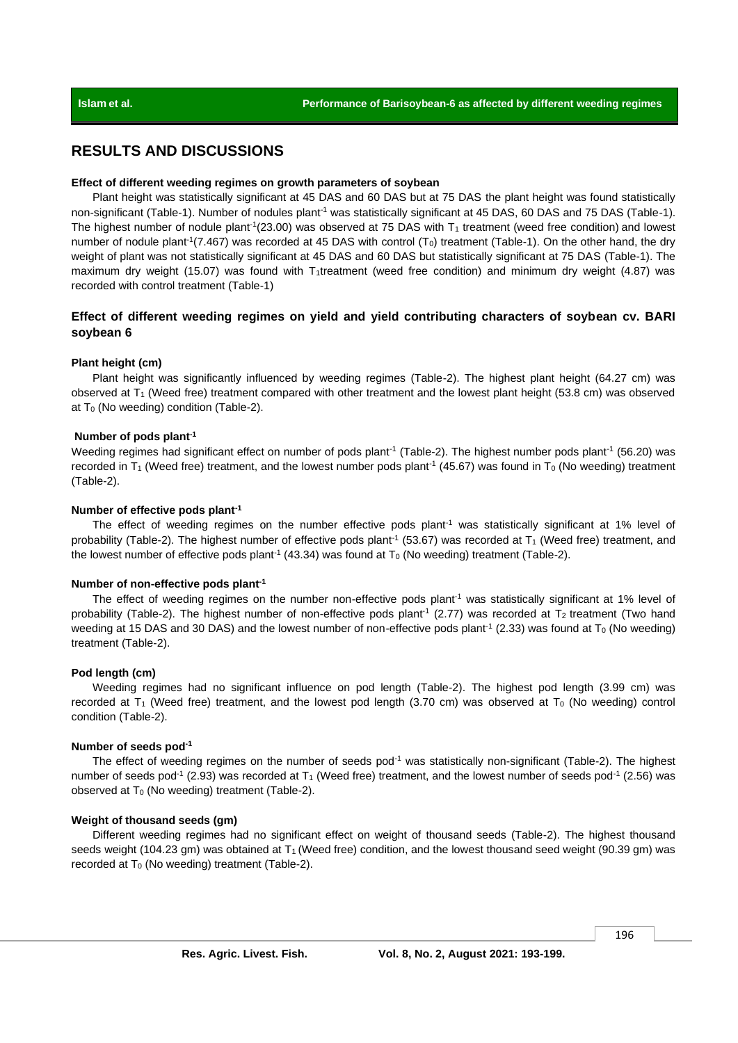### **RESULTS AND DISCUSSIONS**

#### **Effect of different weeding regimes on growth parameters of soybean**

Plant height was statistically significant at 45 DAS and 60 DAS but at 75 DAS the plant height was found statistically non-significant (Table-1). Number of nodules plant<sup>-1</sup> was statistically significant at 45 DAS, 60 DAS and 75 DAS (Table-1). The highest number of nodule plant<sup>-1</sup>(23.00) was observed at 75 DAS with  $T_1$  treatment (weed free condition) and lowest number of nodule plant<sup>-1</sup>(7.467) was recorded at 45 DAS with control ( $T_0$ ) treatment (Table-1). On the other hand, the dry weight of plant was not statistically significant at 45 DAS and 60 DAS but statistically significant at 75 DAS (Table-1). The maximum dry weight (15.07) was found with T<sub>1</sub>treatment (weed free condition) and minimum dry weight (4.87) was recorded with control treatment (Table-1)

### **Effect of different weeding regimes on yield and yield contributing characters of soybean cv. BARI soybean 6**

#### **Plant height (cm)**

Plant height was significantly influenced by weeding regimes (Table-2). The highest plant height (64.27 cm) was observed at  $T_1$  (Weed free) treatment compared with other treatment and the lowest plant height (53.8 cm) was observed at  $T_0$  (No weeding) condition (Table-2).

#### **Number of pods plant-1**

Weeding regimes had significant effect on number of pods plant<sup>-1</sup> (Table-2). The highest number pods plant<sup>-1</sup> (56.20) was recorded in T<sub>1</sub> (Weed free) treatment, and the lowest number pods plant<sup>-1</sup> (45.67) was found in T<sub>0</sub> (No weeding) treatment (Table-2).

#### **Number of effective pods plant-1**

The effect of weeding regimes on the number effective pods plant<sup>-1</sup> was statistically significant at 1% level of probability (Table-2). The highest number of effective pods plant<sup>-1</sup> (53.67) was recorded at  $T_1$  (Weed free) treatment, and the lowest number of effective pods plant<sup>-1</sup> (43.34) was found at  $T_0$  (No weeding) treatment (Table-2).

#### **Number of non-effective pods plant-1**

The effect of weeding regimes on the number non-effective pods plant<sup>-1</sup> was statistically significant at 1% level of probability (Table-2). The highest number of non-effective pods plant<sup>-1</sup> (2.77) was recorded at T<sub>2</sub> treatment (Two hand weeding at 15 DAS and 30 DAS) and the lowest number of non-effective pods plant<sup>-1</sup> (2.33) was found at  $T_0$  (No weeding) treatment (Table-2).

#### **Pod length (cm)**

Weeding regimes had no significant influence on pod length (Table-2). The highest pod length (3.99 cm) was recorded at  $T_1$  (Weed free) treatment, and the lowest pod length (3.70 cm) was observed at  $T_0$  (No weeding) control condition (Table-2).

#### **Number of seeds pod-1**

The effect of weeding regimes on the number of seeds  $pod^{-1}$  was statistically non-significant (Table-2). The highest number of seeds pod<sup>-1</sup> (2.93) was recorded at  $T_1$  (Weed free) treatment, and the lowest number of seeds pod<sup>-1</sup> (2.56) was observed at  $T_0$  (No weeding) treatment (Table-2).

#### **Weight of thousand seeds (gm)**

Different weeding regimes had no significant effect on weight of thousand seeds (Table-2). The highest thousand seeds weight (104.23 gm) was obtained at  $T_1$  (Weed free) condition, and the lowest thousand seed weight (90.39 gm) was recorded at  $T_0$  (No weeding) treatment (Table-2).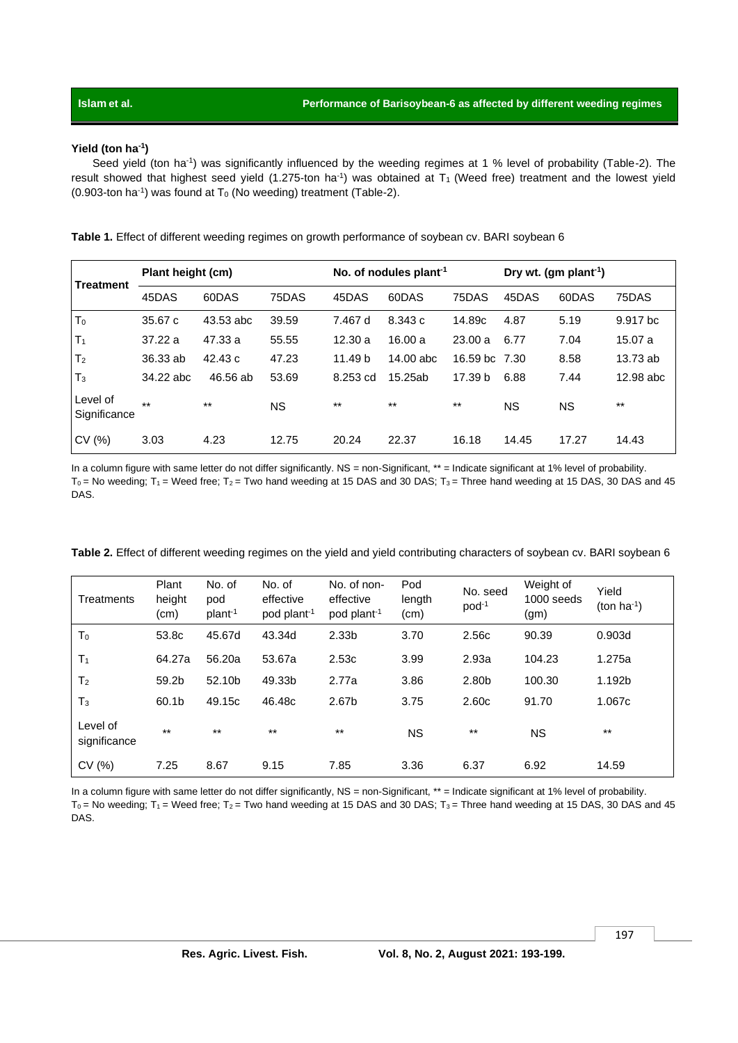#### **Yield (ton ha-1 )**

Seed yield (ton ha<sup>-1</sup>) was significantly influenced by the weeding regimes at 1 % level of probability (Table-2). The result showed that highest seed yield  $(1.275$ -ton ha<sup>-1</sup>) was obtained at T<sub>1</sub> (Weed free) treatment and the lowest yield  $(0.903$ -ton ha<sup>-1</sup>) was found at T<sub>0</sub> (No weeding) treatment (Table-2).

**Table 1.** Effect of different weeding regimes on growth performance of soybean cv. BARI soybean 6

| <b>Treatment</b>         | Plant height (cm) |           |           | No. of nodules plant <sup>-1</sup> |             |               | Dry wt. (gm plant <sup>-1</sup> ) |       |           |
|--------------------------|-------------------|-----------|-----------|------------------------------------|-------------|---------------|-----------------------------------|-------|-----------|
|                          | 45DAS             | 60DAS     | 75DAS     | 45DAS                              | 60DAS       | 75DAS         | 45DAS                             | 60DAS | 75DAS     |
| T <sub>0</sub>           | 35.67c            | 43.53 abc | 39.59     | 7.467 d                            | 8.343 c     | 14.89c        | 4.87                              | 5.19  | 9.917 bc  |
| T <sub>1</sub>           | 37.22a            | 47.33 a   | 55.55     | 12.30a                             | 16.00a      | 23.00a        | 6.77                              | 7.04  | 15.07 a   |
| T <sub>2</sub>           | 36.33 ab          | 42.43c    | 47.23     | 11.49 b                            | $14.00$ abc | 16.59 bc 7.30 |                                   | 8.58  | 13.73 ab  |
| $T_3$                    | 34.22 abc         | 46.56 ab  | 53.69     | 8.253 cd                           | 15.25ab     | 17.39 b       | 6.88                              | 7.44  | 12.98 abc |
| Level of<br>Significance | $\star\star$      | $***$     | <b>NS</b> | $***$                              | $***$       | $***$         | ΝS                                | ΝS    | $***$     |
| CV(%)                    | 3.03              | 4.23      | 12.75     | 20.24                              | 22.37       | 16.18         | 14.45                             | 17.27 | 14.43     |

In a column figure with same letter do not differ significantly. NS = non-Significant, \*\* = Indicate significant at 1% level of probability.  $T_0$  = No weeding; T<sub>1</sub> = Weed free; T<sub>2</sub> = Two hand weeding at 15 DAS and 30 DAS; T<sub>3</sub> = Three hand weeding at 15 DAS, 30 DAS and 45 DAS.

**Table 2.** Effect of different weeding regimes on the yield and yield contributing characters of soybean cv. BARI soybean 6

| Treatments               | Plant<br>height<br>(cm) | No. of<br>pod<br>plant <sup>-1</sup> | No. of<br>effective<br>pod plant <sup>-1</sup> | No. of non-<br>effective<br>pod plant <sup>-1</sup> | Pod<br>length<br>(cm) | No. seed<br>$pod^{-1}$ | Weight of<br>1000 seeds<br>(gm) | Yield<br>(ton $ha^{-1}$ ) |
|--------------------------|-------------------------|--------------------------------------|------------------------------------------------|-----------------------------------------------------|-----------------------|------------------------|---------------------------------|---------------------------|
| T <sub>0</sub>           | 53.8c                   | 45.67d                               | 43.34d                                         | 2.33 <sub>b</sub>                                   | 3.70                  | 2.56c                  | 90.39                           | 0.903d                    |
| T <sub>1</sub>           | 64.27a                  | 56.20a                               | 53.67a                                         | 2.53c                                               | 3.99                  | 2.93a                  | 104.23                          | 1.275a                    |
| T <sub>2</sub>           | 59.2b                   | 52.10b                               | 49.33b                                         | 2.77a                                               | 3.86                  | 2.80b                  | 100.30                          | 1.192b                    |
| T <sub>3</sub>           | 60.1b                   | 49.15c                               | 46.48c                                         | 2.67b                                               | 3.75                  | 2.60c                  | 91.70                           | 1.067c                    |
| Level of<br>significance | $***$                   | $***$                                | $***$                                          | $**$                                                | <b>NS</b>             | $***$                  | <b>NS</b>                       | $***$                     |
| CV(%)                    | 7.25                    | 8.67                                 | 9.15                                           | 7.85                                                | 3.36                  | 6.37                   | 6.92                            | 14.59                     |

In a column figure with same letter do not differ significantly, NS = non-Significant, \*\* = Indicate significant at 1% level of probability.  $T_0$  = No weeding;  $T_1$  = Weed free;  $T_2$  = Two hand weeding at 15 DAS and 30 DAS;  $T_3$  = Three hand weeding at 15 DAS, 30 DAS and 45 DAS.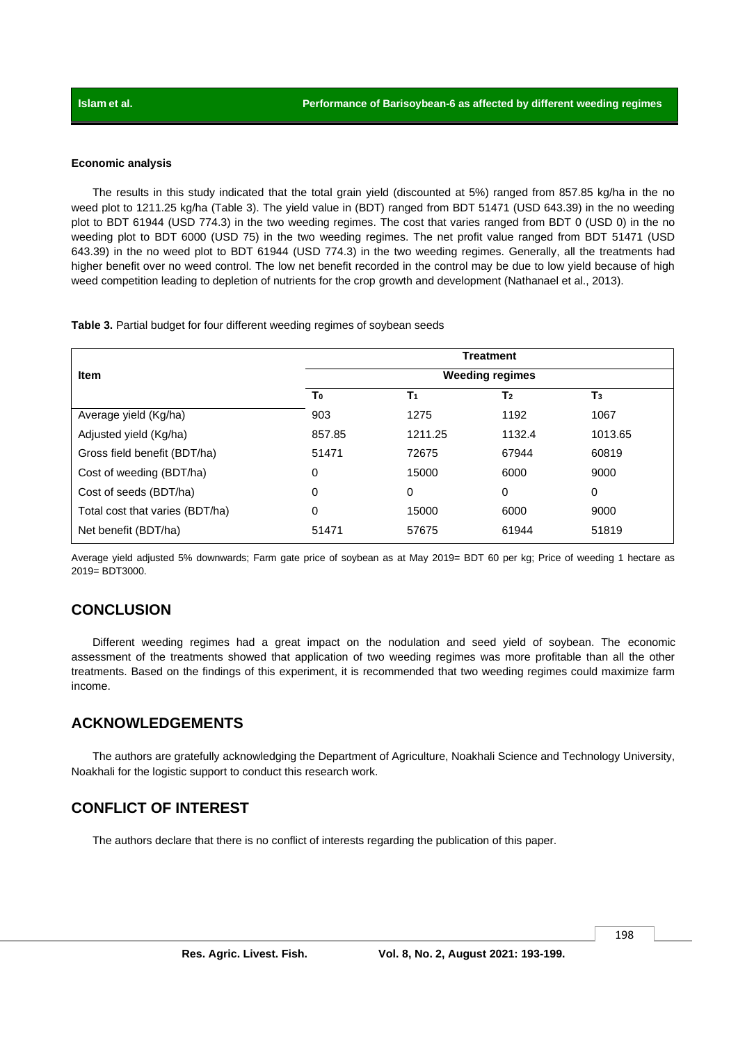#### **Economic analysis**

The results in this study indicated that the total grain yield (discounted at 5%) ranged from 857.85 kg/ha in the no weed plot to 1211.25 kg/ha (Table 3). The yield value in (BDT) ranged from BDT 51471 (USD 643.39) in the no weeding plot to BDT 61944 (USD 774.3) in the two weeding regimes. The cost that varies ranged from BDT 0 (USD 0) in the no weeding plot to BDT 6000 (USD 75) in the two weeding regimes. The net profit value ranged from BDT 51471 (USD 643.39) in the no weed plot to BDT 61944 (USD 774.3) in the two weeding regimes. Generally, all the treatments had higher benefit over no weed control. The low net benefit recorded in the control may be due to low yield because of high weed competition leading to depletion of nutrients for the crop growth and development (Nathanael et al., 2013).

**Table 3.** Partial budget for four different weeding regimes of soybean seeds

|                                 | <b>Treatment</b><br><b>Weeding regimes</b> |                |                |                |  |  |  |
|---------------------------------|--------------------------------------------|----------------|----------------|----------------|--|--|--|
| Item                            |                                            |                |                |                |  |  |  |
|                                 | T <sub>0</sub>                             | T <sub>1</sub> | T <sub>2</sub> | T <sub>3</sub> |  |  |  |
| Average yield (Kg/ha)           | 903                                        | 1275           | 1192           | 1067           |  |  |  |
| Adjusted yield (Kg/ha)          | 857.85                                     | 1211.25        | 1132.4         | 1013.65        |  |  |  |
| Gross field benefit (BDT/ha)    | 51471                                      | 72675          | 67944          | 60819          |  |  |  |
| Cost of weeding (BDT/ha)        | 0                                          | 15000          | 6000           | 9000           |  |  |  |
| Cost of seeds (BDT/ha)          | 0                                          | 0              | 0              | 0              |  |  |  |
| Total cost that varies (BDT/ha) | 0                                          | 15000          | 6000           | 9000           |  |  |  |
| Net benefit (BDT/ha)            | 51471                                      | 57675          | 61944          | 51819          |  |  |  |

Average yield adjusted 5% downwards; Farm gate price of soybean as at May 2019= BDT 60 per kg; Price of weeding 1 hectare as 2019= BDT3000.

### **CONCLUSION**

Different weeding regimes had a great impact on the nodulation and seed yield of soybean. The economic assessment of the treatments showed that application of two weeding regimes was more profitable than all the other treatments. Based on the findings of this experiment, it is recommended that two weeding regimes could maximize farm income.

### **ACKNOWLEDGEMENTS**

The authors are gratefully acknowledging the Department of Agriculture, Noakhali Science and Technology University, Noakhali for the logistic support to conduct this research work.

### **CONFLICT OF INTEREST**

The authors declare that there is no conflict of interests regarding the publication of this paper.